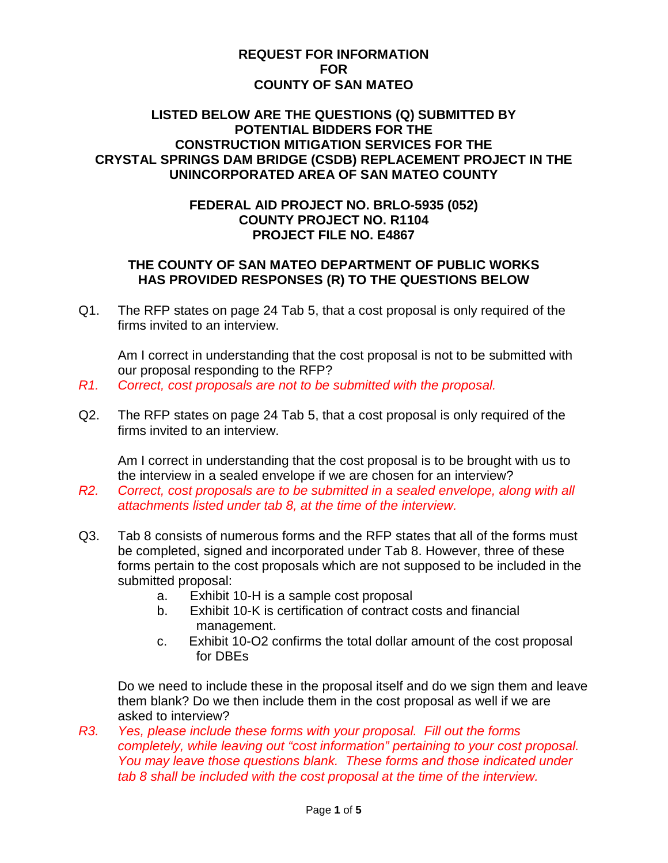## **REQUEST FOR INFORMATION FOR COUNTY OF SAN MATEO**

## **LISTED BELOW ARE THE QUESTIONS (Q) SUBMITTED BY POTENTIAL BIDDERS FOR THE CONSTRUCTION MITIGATION SERVICES FOR THE CRYSTAL SPRINGS DAM BRIDGE (CSDB) REPLACEMENT PROJECT IN THE UNINCORPORATED AREA OF SAN MATEO COUNTY**

## **FEDERAL AID PROJECT NO. BRLO-5935 (052) COUNTY PROJECT NO. R1104 PROJECT FILE NO. E4867**

## **THE COUNTY OF SAN MATEO DEPARTMENT OF PUBLIC WORKS HAS PROVIDED RESPONSES (R) TO THE QUESTIONS BELOW**

Q1. The RFP states on page 24 Tab 5, that a cost proposal is only required of the firms invited to an interview.

Am I correct in understanding that the cost proposal is not to be submitted with our proposal responding to the RFP?

- *R1. Correct, cost proposals are not to be submitted with the proposal.*
- Q2. The RFP states on page 24 Tab 5, that a cost proposal is only required of the firms invited to an interview.

Am I correct in understanding that the cost proposal is to be brought with us to the interview in a sealed envelope if we are chosen for an interview?

- *R2. Correct, cost proposals are to be submitted in a sealed envelope, along with all attachments listed under tab 8, at the time of the interview.*
- Q3. Tab 8 consists of numerous forms and the RFP states that all of the forms must be completed, signed and incorporated under Tab 8. However, three of these forms pertain to the cost proposals which are not supposed to be included in the submitted proposal:
	- a. Exhibit 10-H is a sample cost proposal
	- b. Exhibit 10-K is certification of contract costs and financial management.
	- c. Exhibit 10-O2 confirms the total dollar amount of the cost proposal for DBEs

Do we need to include these in the proposal itself and do we sign them and leave them blank? Do we then include them in the cost proposal as well if we are asked to interview?

*R3. Yes, please include these forms with your proposal. Fill out the forms completely, while leaving out "cost information" pertaining to your cost proposal. You may leave those questions blank. These forms and those indicated under tab 8 shall be included with the cost proposal at the time of the interview.*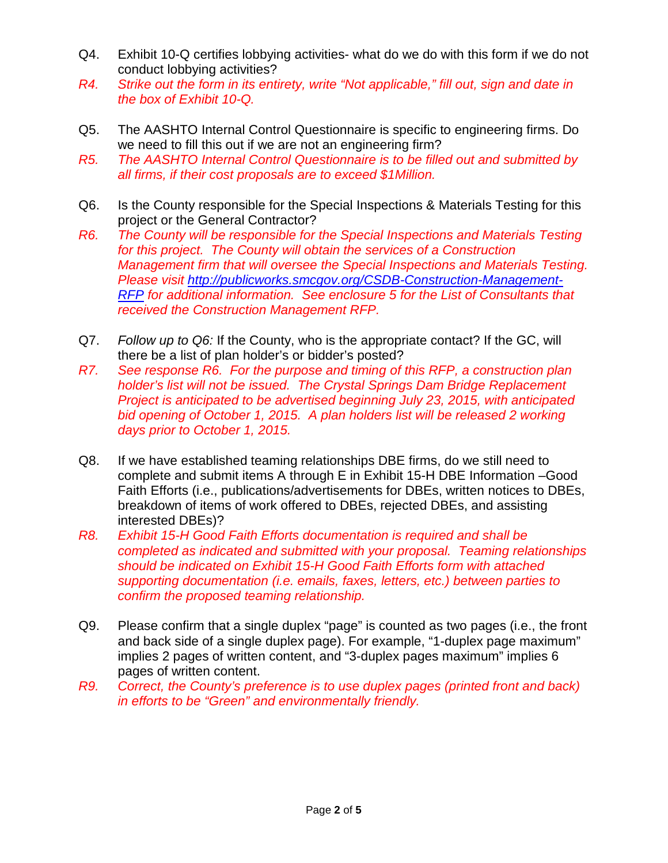- Q4. Exhibit 10-Q certifies lobbying activities- what do we do with this form if we do not conduct lobbying activities?
- *R4. Strike out the form in its entirety, write "Not applicable," fill out, sign and date in the box of Exhibit 10-Q.*
- Q5. The AASHTO Internal Control Questionnaire is specific to engineering firms. Do we need to fill this out if we are not an engineering firm?
- *R5. The AASHTO Internal Control Questionnaire is to be filled out and submitted by all firms, if their cost proposals are to exceed \$1Million.*
- Q6. Is the County responsible for the Special Inspections & Materials Testing for this project or the General Contractor?
- *R6. The County will be responsible for the Special Inspections and Materials Testing for this project. The County will obtain the services of a Construction Management firm that will oversee the Special Inspections and Materials Testing. Please visit [http://publicworks.smcgov.org/CSDB-Construction-Management-](http://publicworks.smcgov.org/CSDB-Construction-Management-RFP)[RFP](http://publicworks.smcgov.org/CSDB-Construction-Management-RFP) for additional information. See enclosure 5 for the List of Consultants that received the Construction Management RFP.*
- Q7. *Follow up to Q6:* If the County, who is the appropriate contact? If the GC, will there be a list of plan holder's or bidder's posted?
- *R7. See response R6. For the purpose and timing of this RFP, a construction plan holder's list will not be issued. The Crystal Springs Dam Bridge Replacement Project is anticipated to be advertised beginning July 23, 2015, with anticipated bid opening of October 1, 2015. A plan holders list will be released 2 working days prior to October 1, 2015.*
- Q8. If we have established teaming relationships DBE firms, do we still need to complete and submit items A through E in Exhibit 15-H DBE Information –Good Faith Efforts (i.e., publications/advertisements for DBEs, written notices to DBEs, breakdown of items of work offered to DBEs, rejected DBEs, and assisting interested DBEs)?
- *R8. Exhibit 15-H Good Faith Efforts documentation is required and shall be completed as indicated and submitted with your proposal. Teaming relationships should be indicated on Exhibit 15-H Good Faith Efforts form with attached supporting documentation (i.e. emails, faxes, letters, etc.) between parties to confirm the proposed teaming relationship.*
- Q9. Please confirm that a single duplex "page" is counted as two pages (i.e., the front and back side of a single duplex page). For example, "1-duplex page maximum" implies 2 pages of written content, and "3-duplex pages maximum" implies 6 pages of written content.
- *R9. Correct, the County's preference is to use duplex pages (printed front and back) in efforts to be "Green" and environmentally friendly.*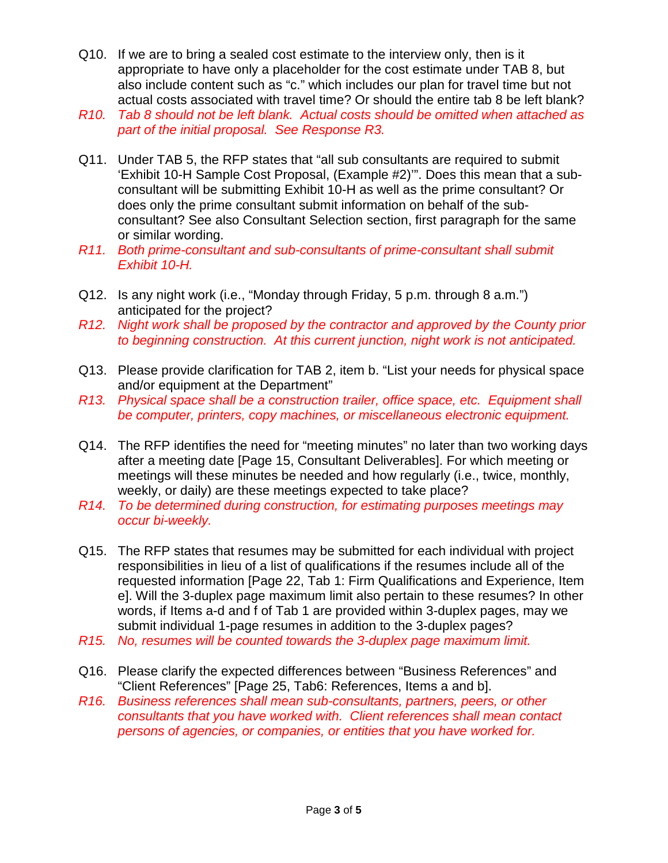- Q10. If we are to bring a sealed cost estimate to the interview only, then is it appropriate to have only a placeholder for the cost estimate under TAB 8, but also include content such as "c." which includes our plan for travel time but not actual costs associated with travel time? Or should the entire tab 8 be left blank?
- *R10. Tab 8 should not be left blank. Actual costs should be omitted when attached as part of the initial proposal. See Response R3.*
- Q11. Under TAB 5, the RFP states that "all sub consultants are required to submit 'Exhibit 10-H Sample Cost Proposal, (Example #2)'". Does this mean that a subconsultant will be submitting Exhibit 10-H as well as the prime consultant? Or does only the prime consultant submit information on behalf of the subconsultant? See also Consultant Selection section, first paragraph for the same or similar wording.
- *R11. Both prime-consultant and sub-consultants of prime-consultant shall submit Exhibit 10-H.*
- Q12. Is any night work (i.e., "Monday through Friday, 5 p.m. through 8 a.m.") anticipated for the project?
- *R12. Night work shall be proposed by the contractor and approved by the County prior to beginning construction. At this current junction, night work is not anticipated.*
- Q13. Please provide clarification for TAB 2, item b. "List your needs for physical space and/or equipment at the Department"
- *R13. Physical space shall be a construction trailer, office space, etc. Equipment shall be computer, printers, copy machines, or miscellaneous electronic equipment.*
- Q14. The RFP identifies the need for "meeting minutes" no later than two working days after a meeting date [Page 15, Consultant Deliverables]. For which meeting or meetings will these minutes be needed and how regularly (i.e., twice, monthly, weekly, or daily) are these meetings expected to take place?
- *R14. To be determined during construction, for estimating purposes meetings may occur bi-weekly.*
- Q15. The RFP states that resumes may be submitted for each individual with project responsibilities in lieu of a list of qualifications if the resumes include all of the requested information [Page 22, Tab 1: Firm Qualifications and Experience, Item e]. Will the 3-duplex page maximum limit also pertain to these resumes? In other words, if Items a-d and f of Tab 1 are provided within 3-duplex pages, may we submit individual 1-page resumes in addition to the 3-duplex pages?
- *R15. No, resumes will be counted towards the 3-duplex page maximum limit.*
- Q16. Please clarify the expected differences between "Business References" and "Client References" [Page 25, Tab6: References, Items a and b].
- *R16. Business references shall mean sub-consultants, partners, peers, or other consultants that you have worked with. Client references shall mean contact persons of agencies, or companies, or entities that you have worked for.*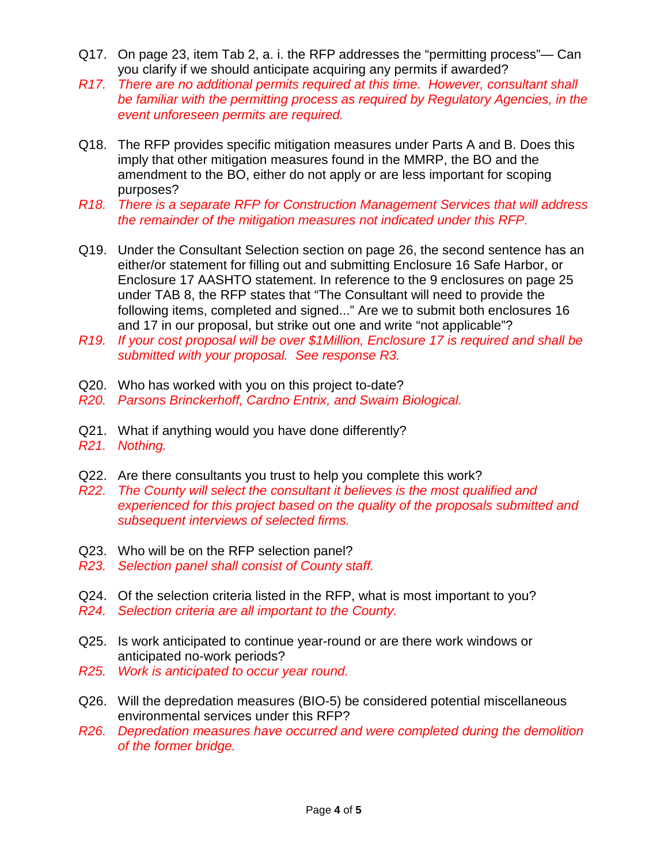- Q17. On page 23, item Tab 2, a. i. the RFP addresses the "permitting process"— Can you clarify if we should anticipate acquiring any permits if awarded?
- *R17. There are no additional permits required at this time. However, consultant shall be familiar with the permitting process as required by Regulatory Agencies, in the event unforeseen permits are required.*
- Q18. The RFP provides specific mitigation measures under Parts A and B. Does this imply that other mitigation measures found in the MMRP, the BO and the amendment to the BO, either do not apply or are less important for scoping purposes?
- *R18. There is a separate RFP for Construction Management Services that will address the remainder of the mitigation measures not indicated under this RFP.*
- Q19. Under the Consultant Selection section on page 26, the second sentence has an either/or statement for filling out and submitting Enclosure 16 Safe Harbor, or Enclosure 17 AASHTO statement. In reference to the 9 enclosures on page 25 under TAB 8, the RFP states that "The Consultant will need to provide the following items, completed and signed..." Are we to submit both enclosures 16 and 17 in our proposal, but strike out one and write "not applicable"?
- *R19. If your cost proposal will be over \$1Million, Enclosure 17 is required and shall be submitted with your proposal. See response R3.*
- Q20. Who has worked with you on this project to-date?
- *R20. Parsons Brinckerhoff, Cardno Entrix, and Swaim Biological.*
- Q21. What if anything would you have done differently?
- *R21. Nothing.*
- Q22. Are there consultants you trust to help you complete this work?
- *R22. The County will select the consultant it believes is the most qualified and experienced for this project based on the quality of the proposals submitted and subsequent interviews of selected firms.*
- Q23. Who will be on the RFP selection panel?
- *R23. Selection panel shall consist of County staff.*
- Q24. Of the selection criteria listed in the RFP, what is most important to you?
- *R24. Selection criteria are all important to the County.*
- Q25. Is work anticipated to continue year-round or are there work windows or anticipated no-work periods?
- *R25. Work is anticipated to occur year round.*
- Q26. Will the depredation measures (BIO-5) be considered potential miscellaneous environmental services under this RFP?
- *R26. Depredation measures have occurred and were completed during the demolition of the former bridge.*